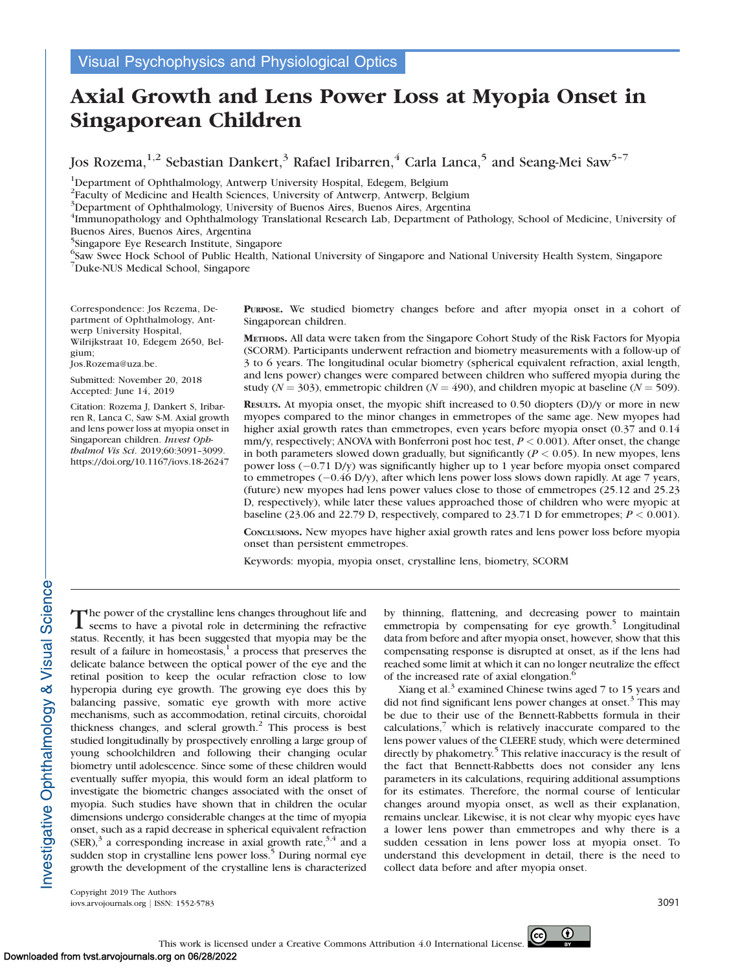# Axial Growth and Lens Power Loss at Myopia Onset in Singaporean Children

Jos Rozema,<sup>1,2</sup> Sebastian Dankert,<sup>3</sup> Rafael Iribarren,<sup>4</sup> Carla Lanca,<sup>5</sup> and Seang-Mei Saw<sup>5-7</sup>

<sup>1</sup>Department of Ophthalmology, Antwerp University Hospital, Edegem, Belgium

<sup>2</sup> Faculty of Medicine and Health Sciences, University of Antwerp, Antwerp, Belgium

<sup>3</sup>Department of Ophthalmology, University of Buenos Aires, Buenos Aires, Argentina

4 Immunopathology and Ophthalmology Translational Research Lab, Department of Pathology, School of Medicine, University of Buenos Aires, Buenos Aires, Argentina

<sup>5</sup>Singapore Eye Research Institute, Singapore

6 Saw Swee Hock School of Public Health, National University of Singapore and National University Health System, Singapore 7 Duke-NUS Medical School, Singapore

Correspondence: Jos Rezema, Department of Ophthalmology, Antwerp University Hospital, Wilrijkstraat 10, Edegem 2650, Belgium;

Jos.Rozema@uza.be.

Submitted: November 20, 2018 Accepted: June 14, 2019

Citation: Rozema J, Dankert S, Iribarren R, Lanca C, Saw S-M. Axial growth and lens power loss at myopia onset in Singaporean children. Invest Ophthalmol Vis Sci. 2019;60:3091–3099. https://doi.org/10.1167/iovs.18-26247 PURPOSE. We studied biometry changes before and after myopia onset in a cohort of Singaporean children.

METHODS. All data were taken from the Singapore Cohort Study of the Risk Factors for Myopia (SCORM). Participants underwent refraction and biometry measurements with a follow-up of 3 to 6 years. The longitudinal ocular biometry (spherical equivalent refraction, axial length, and lens power) changes were compared between children who suffered myopia during the study ( $N = 303$ ), emmetropic children ( $N = 490$ ), and children myopic at baseline ( $N = 509$ ).

RESULTS. At myopia onset, the myopic shift increased to 0.50 diopters (D)/y or more in new myopes compared to the minor changes in emmetropes of the same age. New myopes had higher axial growth rates than emmetropes, even years before myopia onset (0.37 and 0.14 mm/y, respectively; ANOVA with Bonferroni post hoc test,  $P < 0.001$ ). After onset, the change in both parameters slowed down gradually, but significantly ( $P < 0.05$ ). In new myopes, lens power loss (-0.71 D/y) was significantly higher up to 1 year before myopia onset compared to emmetropes (-0.46 D/y), after which lens power loss slows down rapidly. At age 7 years, (future) new myopes had lens power values close to those of emmetropes (25.12 and 25.23 D, respectively), while later these values approached those of children who were myopic at baseline (23.06 and 22.79 D, respectively, compared to 23.71 D for emmetropes;  $P < 0.001$ ).

CONCLUSIONS. New myopes have higher axial growth rates and lens power loss before myopia onset than persistent emmetropes.

Keywords: myopia, myopia onset, crystalline lens, biometry, SCORM

The power of the crystalline lens changes throughout life and seems to have a pivotal role in determining the refractive status. Recently, it has been suggested that myopia may be the result of a failure in homeostasis, $\frac{1}{1}$  a process that preserves the delicate balance between the optical power of the eye and the retinal position to keep the ocular refraction close to low hyperopia during eye growth. The growing eye does this by balancing passive, somatic eye growth with more active mechanisms, such as accommodation, retinal circuits, choroidal thickness changes, and scleral growth.<sup>2</sup> This process is best studied longitudinally by prospectively enrolling a large group of young schoolchildren and following their changing ocular biometry until adolescence. Since some of these children would eventually suffer myopia, this would form an ideal platform to investigate the biometric changes associated with the onset of myopia. Such studies have shown that in children the ocular dimensions undergo considerable changes at the time of myopia onset, such as a rapid decrease in spherical equivalent refraction  $(SER)$ ,<sup>3</sup> a corresponding increase in axial growth rate,<sup>3,4</sup> and a sudden stop in crystalline lens power loss.<sup>5</sup> During normal eye growth the development of the crystalline lens is characterized by thinning, flattening, and decreasing power to maintain emmetropia by compensating for eye growth.<sup>5</sup> Longitudinal data from before and after myopia onset, however, show that this compensating response is disrupted at onset, as if the lens had reached some limit at which it can no longer neutralize the effect of the increased rate of axial elongation.<sup>6</sup>

Xiang et al.<sup>3</sup> examined Chinese twins aged 7 to 15 years and did not find significant lens power changes at onset.<sup>3</sup> This may be due to their use of the Bennett-Rabbetts formula in their calculations, $\bar{y}$  which is relatively inaccurate compared to the lens power values of the CLEERE study, which were determined directly by phakometry.<sup>5</sup> This relative inaccuracy is the result of the fact that Bennett-Rabbetts does not consider any lens parameters in its calculations, requiring additional assumptions for its estimates. Therefore, the normal course of lenticular changes around myopia onset, as well as their explanation, remains unclear. Likewise, it is not clear why myopic eyes have a lower lens power than emmetropes and why there is a sudden cessation in lens power loss at myopia onset. To understand this development in detail, there is the need to collect data before and after myopia onset.

Copyright 2019 The Authors iovs.arvojournals.org j ISSN: 1552-5783 3091

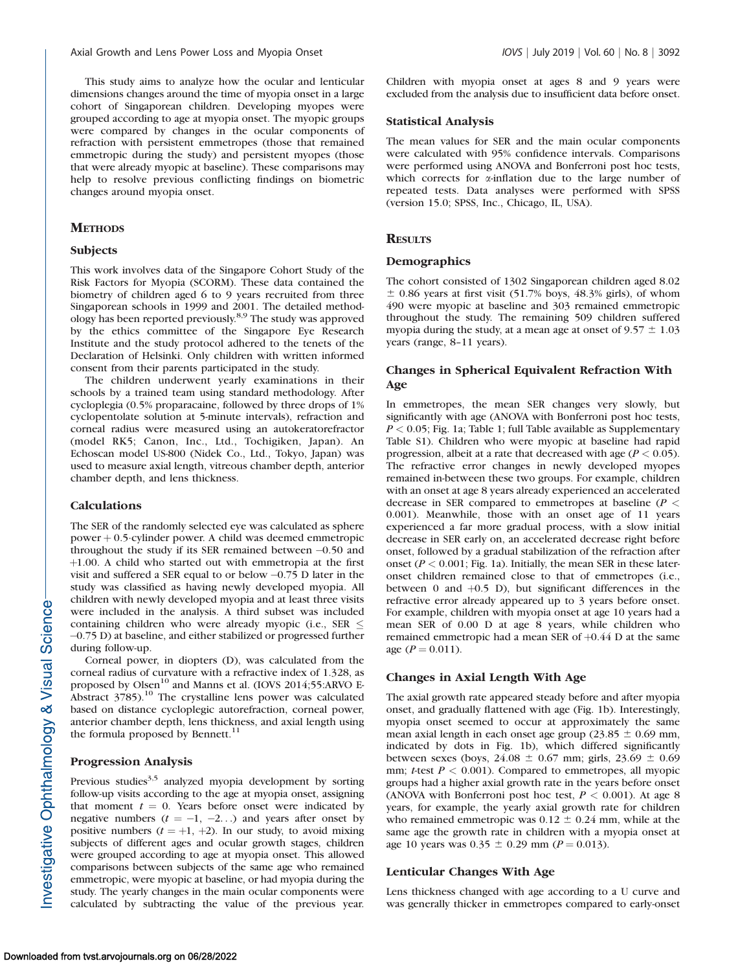This study aims to analyze how the ocular and lenticular dimensions changes around the time of myopia onset in a large cohort of Singaporean children. Developing myopes were grouped according to age at myopia onset. The myopic groups were compared by changes in the ocular components of refraction with persistent emmetropes (those that remained emmetropic during the study) and persistent myopes (those that were already myopic at baseline). These comparisons may help to resolve previous conflicting findings on biometric changes around myopia onset.

# **METHODS**

## **Subjects**

This work involves data of the Singapore Cohort Study of the Risk Factors for Myopia (SCORM). These data contained the biometry of children aged 6 to 9 years recruited from three Singaporean schools in 1999 and 2001. The detailed methodology has been reported previously.8,9 The study was approved by the ethics committee of the Singapore Eye Research Institute and the study protocol adhered to the tenets of the Declaration of Helsinki. Only children with written informed consent from their parents participated in the study.

The children underwent yearly examinations in their schools by a trained team using standard methodology. After cycloplegia (0.5% proparacaine, followed by three drops of 1% cyclopentolate solution at 5-minute intervals), refraction and corneal radius were measured using an autokeratorefractor (model RK5; Canon, Inc., Ltd., Tochigiken, Japan). An Echoscan model US-800 (Nidek Co., Ltd., Tokyo, Japan) was used to measure axial length, vitreous chamber depth, anterior chamber depth, and lens thickness.

## Calculations

The SER of the randomly selected eye was calculated as sphere  $power + 0.5$  cylinder power. A child was deemed emmetropic throughout the study if its SER remained between -0.50 and  $+1.00$ . A child who started out with emmetropia at the first visit and suffered a SER equal to or below -0.75 D later in the study was classified as having newly developed myopia. All children with newly developed myopia and at least three visits were included in the analysis. A third subset was included containing children who were already myopic (i.e., SER  $\leq$ -0.75 D) at baseline, and either stabilized or progressed further during follow-up.

Corneal power, in diopters (D), was calculated from the corneal radius of curvature with a refractive index of 1.328, as proposed by Olsen<sup>10</sup> and Manns et al. (IOVS 2014;55:ARVO E-Abstract  $3785$ .<sup>10</sup> The crystalline lens power was calculated based on distance cycloplegic autorefraction, corneal power, anterior chamber depth, lens thickness, and axial length using the formula proposed by Bennett. $^{11}$ 

# Progression Analysis

Previous studies<sup>3,5</sup> analyzed myopia development by sorting follow-up visits according to the age at myopia onset, assigning that moment  $t = 0$ . Years before onset were indicated by negative numbers  $(t = -1, -2...)$  and years after onset by positive numbers  $(t = +1, +2)$ . In our study, to avoid mixing subjects of different ages and ocular growth stages, children were grouped according to age at myopia onset. This allowed comparisons between subjects of the same age who remained emmetropic, were myopic at baseline, or had myopia during the study. The yearly changes in the main ocular components were calculated by subtracting the value of the previous year.

Children with myopia onset at ages 8 and 9 years were excluded from the analysis due to insufficient data before onset.

#### Statistical Analysis

The mean values for SER and the main ocular components were calculated with 95% confidence intervals. Comparisons were performed using ANOVA and Bonferroni post hoc tests, which corrects for  $\alpha$ -inflation due to the large number of repeated tests. Data analyses were performed with SPSS (version 15.0; SPSS, Inc., Chicago, IL, USA).

#### **RESULTS**

#### Demographics

The cohort consisted of 1302 Singaporean children aged 8.02  $±$  0.86 years at first visit (51.7% boys, 48.3% girls), of whom 490 were myopic at baseline and 303 remained emmetropic throughout the study. The remaining 509 children suffered myopia during the study, at a mean age at onset of  $9.57 \pm 1.03$ years (range, 8–11 years).

# Changes in Spherical Equivalent Refraction With Age

In emmetropes, the mean SER changes very slowly, but significantly with age (ANOVA with Bonferroni post hoc tests,  $P < 0.05$ ; Fig. 1a; Table 1; full Table available as [Supplementary](https://arvo.silverchair-cdn.com/arvo/content_public/journal/iovs/938091/iovs-60-08-04_s01.xlsx?Expires=1563396658&Signature=YB6IX5KTLSLIQw28oBTiEgSUII11MjbLhPvttxQLO5msa-o37tfyi3Hcksoq2-EqXU3iuf1ZYfxGd~3sxqXy9hsgThNrplr~WF9KtkDytnpJkblHeW3aUIOVXYqbHNayD143pJPjVZPzg7hfQjmMfSqU~icCIKr1CFsoRhqCWyAyAgEBkwcNg~rk79S~DiOSNtCz96XjxLqOr6CxDTCL-FcGg~BJzi1ffGFBB5HK6sOCPTREZyQL1ZVuXfJJu3FG4INy-7EbvbqDCI9AKU9tHV5J83CMckgkfs-crchmt0CYt5Z215OaBLOTxpQ~Pz-NuMWLj~tBpeoJj5-wC8dNwg__&Key-Pair-Id=APKAIE5G5CRDK6RD3PGA) [Table S1](https://arvo.silverchair-cdn.com/arvo/content_public/journal/iovs/938091/iovs-60-08-04_s01.xlsx?Expires=1563396658&Signature=YB6IX5KTLSLIQw28oBTiEgSUII11MjbLhPvttxQLO5msa-o37tfyi3Hcksoq2-EqXU3iuf1ZYfxGd~3sxqXy9hsgThNrplr~WF9KtkDytnpJkblHeW3aUIOVXYqbHNayD143pJPjVZPzg7hfQjmMfSqU~icCIKr1CFsoRhqCWyAyAgEBkwcNg~rk79S~DiOSNtCz96XjxLqOr6CxDTCL-FcGg~BJzi1ffGFBB5HK6sOCPTREZyQL1ZVuXfJJu3FG4INy-7EbvbqDCI9AKU9tHV5J83CMckgkfs-crchmt0CYt5Z215OaBLOTxpQ~Pz-NuMWLj~tBpeoJj5-wC8dNwg__&Key-Pair-Id=APKAIE5G5CRDK6RD3PGA)). Children who were myopic at baseline had rapid progression, albeit at a rate that decreased with age ( $P < 0.05$ ). The refractive error changes in newly developed myopes remained in-between these two groups. For example, children with an onset at age 8 years already experienced an accelerated decrease in SER compared to emmetropes at baseline  $(P \leq$ 0.001). Meanwhile, those with an onset age of 11 years experienced a far more gradual process, with a slow initial decrease in SER early on, an accelerated decrease right before onset, followed by a gradual stabilization of the refraction after onset ( $P < 0.001$ ; Fig. 1a). Initially, the mean SER in these lateronset children remained close to that of emmetropes (i.e., between 0 and  $+0.5$  D), but significant differences in the refractive error already appeared up to 3 years before onset. For example, children with myopia onset at age 10 years had a mean SER of 0.00 D at age 8 years, while children who remained emmetropic had a mean SER of  $+0.44$  D at the same age  $(P = 0.011)$ .

#### Changes in Axial Length With Age

The axial growth rate appeared steady before and after myopia onset, and gradually flattened with age (Fig. 1b). Interestingly, myopia onset seemed to occur at approximately the same mean axial length in each onset age group (23.85  $\pm$  0.69 mm, indicated by dots in Fig. 1b), which differed significantly between sexes (boys,  $24.08 \pm 0.67$  mm; girls,  $23.69 \pm 0.69$ mm; *t*-test  $P < 0.001$ ). Compared to emmetropes, all myopic groups had a higher axial growth rate in the years before onset (ANOVA with Bonferroni post hoc test,  $P < 0.001$ ). At age 8 years, for example, the yearly axial growth rate for children who remained emmetropic was  $0.12 \pm 0.24$  mm, while at the same age the growth rate in children with a myopia onset at age 10 years was  $0.35 \pm 0.29$  mm ( $P = 0.013$ ).

# Lenticular Changes With Age

Lens thickness changed with age according to a U curve and was generally thicker in emmetropes compared to early-onset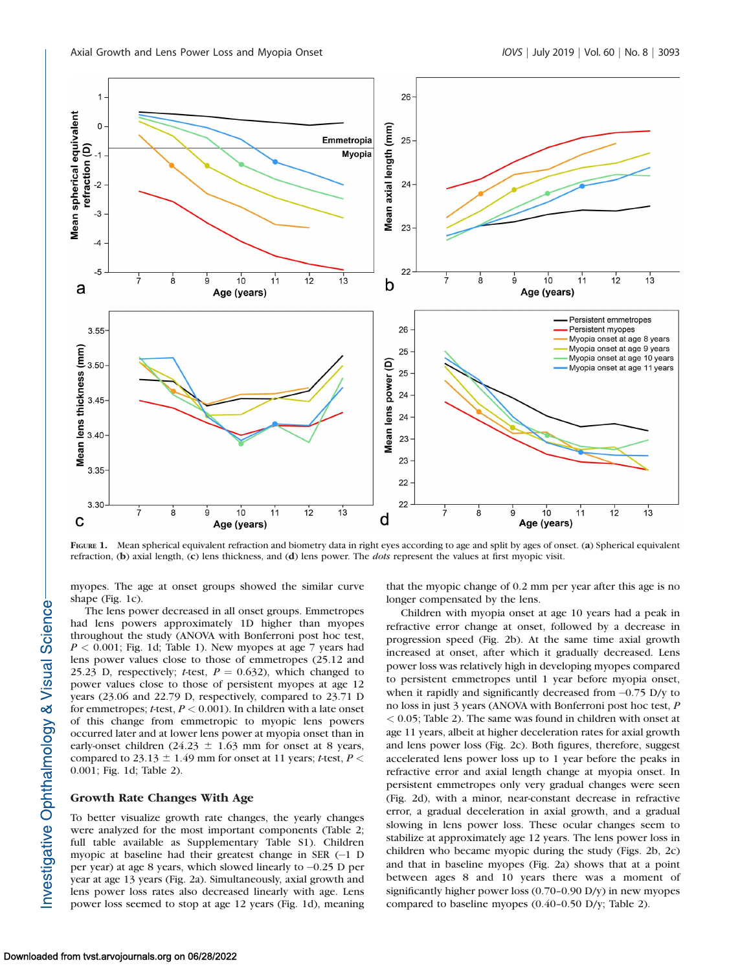

FIGURE 1. Mean spherical equivalent refraction and biometry data in right eyes according to age and split by ages of onset. (a) Spherical equivalent refraction, (b) axial length, (c) lens thickness, and (d) lens power. The dots represent the values at first myopic visit.

myopes. The age at onset groups showed the similar curve shape (Fig. 1c).

The lens power decreased in all onset groups. Emmetropes had lens powers approximately 1D higher than myopes throughout the study (ANOVA with Bonferroni post hoc test,  $P < 0.001$ ; Fig. 1d; Table 1). New myopes at age 7 years had lens power values close to those of emmetropes (25.12 and 25.23 D, respectively; t-test,  $P = 0.632$ ), which changed to power values close to those of persistent myopes at age 12 years (23.06 and 22.79 D, respectively, compared to 23.71 D for emmetropes;  $t$ -test,  $P < 0.001$ ). In children with a late onset of this change from emmetropic to myopic lens powers occurred later and at lower lens power at myopia onset than in early-onset children (24.23  $\pm$  1.63 mm for onset at 8 years, compared to 23.13  $\pm$  1.49 mm for onset at 11 years; t-test, P < 0.001; Fig. 1d; Table 2).

# Growth Rate Changes With Age

To better visualize growth rate changes, the yearly changes were analyzed for the most important components (Table 2; full table available as [Supplementary Table S1](https://arvo.silverchair-cdn.com/arvo/content_public/journal/iovs/938091/iovs-60-08-04_s01.xlsx?Expires=1563396658&Signature=YB6IX5KTLSLIQw28oBTiEgSUII11MjbLhPvttxQLO5msa-o37tfyi3Hcksoq2-EqXU3iuf1ZYfxGd~3sxqXy9hsgThNrplr~WF9KtkDytnpJkblHeW3aUIOVXYqbHNayD143pJPjVZPzg7hfQjmMfSqU~icCIKr1CFsoRhqCWyAyAgEBkwcNg~rk79S~DiOSNtCz96XjxLqOr6CxDTCL-FcGg~BJzi1ffGFBB5HK6sOCPTREZyQL1ZVuXfJJu3FG4INy-7EbvbqDCI9AKU9tHV5J83CMckgkfs-crchmt0CYt5Z215OaBLOTxpQ~Pz-NuMWLj~tBpeoJj5-wC8dNwg__&Key-Pair-Id=APKAIE5G5CRDK6RD3PGA)). Children myopic at baseline had their greatest change in SER (-1 D per year) at age 8 years, which slowed linearly to -0.25 D per year at age 13 years (Fig. 2a). Simultaneously, axial growth and lens power loss rates also decreased linearly with age. Lens power loss seemed to stop at age 12 years (Fig. 1d), meaning that the myopic change of 0.2 mm per year after this age is no longer compensated by the lens.

Children with myopia onset at age 10 years had a peak in refractive error change at onset, followed by a decrease in progression speed (Fig. 2b). At the same time axial growth increased at onset, after which it gradually decreased. Lens power loss was relatively high in developing myopes compared to persistent emmetropes until 1 year before myopia onset, when it rapidly and significantly decreased from  $-0.75$  D/y to no loss in just 3 years (ANOVA with Bonferroni post hoc test, P  $<$  0.05; Table 2). The same was found in children with onset at age 11 years, albeit at higher deceleration rates for axial growth and lens power loss (Fig. 2c). Both figures, therefore, suggest accelerated lens power loss up to 1 year before the peaks in refractive error and axial length change at myopia onset. In persistent emmetropes only very gradual changes were seen (Fig. 2d), with a minor, near-constant decrease in refractive error, a gradual deceleration in axial growth, and a gradual slowing in lens power loss. These ocular changes seem to stabilize at approximately age 12 years. The lens power loss in children who became myopic during the study (Figs. 2b, 2c) and that in baseline myopes (Fig. 2a) shows that at a point between ages 8 and 10 years there was a moment of significantly higher power loss (0.70–0.90 D/y) in new myopes compared to baseline myopes (0.40–0.50 D/y; Table 2).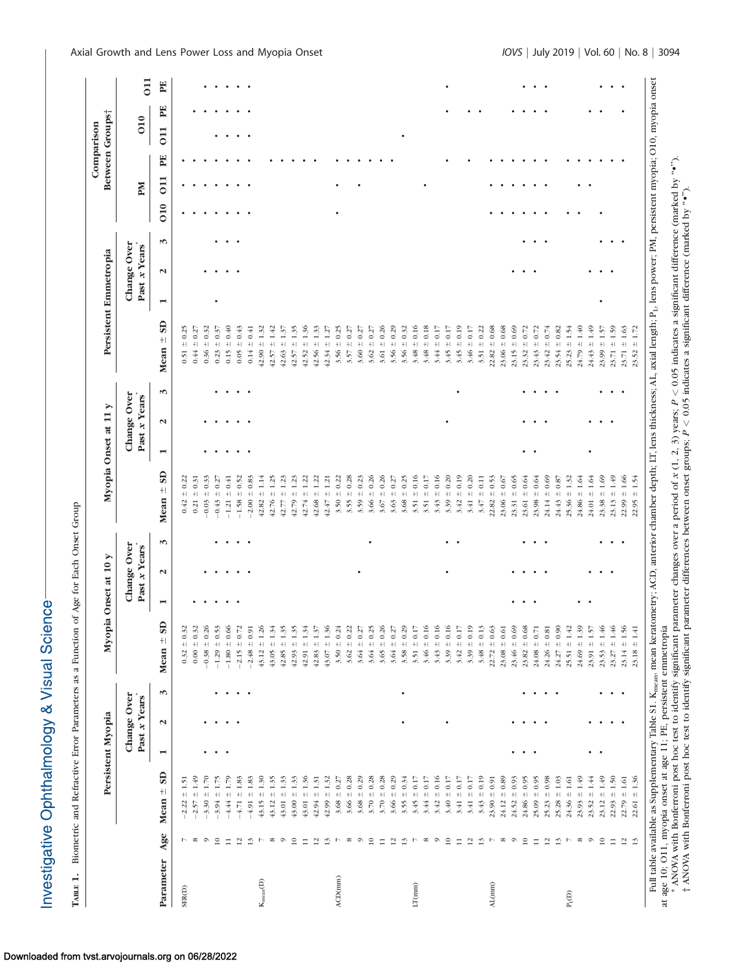| Change Over<br>Past x Years<br>$\mathbf{N}$<br>$\blacksquare$<br>$\bullet$<br>$\mathbf{S}$<br>± 0.16<br>± 1.49<br>$-3.30 \pm 1.70$<br>± 1.30<br>$43.00 \pm 1.33$<br>± 1.36<br>$42.99 \pm 1.32$<br>$3.66 \pm 0.28$<br>$3.68 \pm 0.29$<br>$3.70 \pm 0.28$<br>$3.70 \pm 0.28$<br>$3.66 \pm 0.29$<br>$= 0.34$<br>$\pm$ 0.17<br>$\pm$ 0.17<br>$3.40 \pm 0.17$<br>$-3.94 \pm 1.75$<br>± 1.79<br>$\pm$ 1.83<br>$+1.83$<br>$+1.35$<br>± 1.33<br>±1.31<br>$\pm$ 0.17<br>$-2.22 \pm 1.51$<br>± 0.27<br>Mean ±<br>43.15<br>43.01<br>42.94<br>3.68<br>3.44<br>3.42<br>3.41<br>$-2.57$<br>$-4.44$<br>$-4.91$<br>43.12<br>43.01<br>3.55<br>3.45<br>$-4.71$<br>Age<br>$\circ$<br>$\overline{10}$<br>$\overline{10}$<br>$\overline{10}$<br>$\sim$ $\infty$<br>$\equiv$<br>$\overline{c}$<br>$\mathbf{r}$<br>$^{\circ}$<br>$\circ$<br>$\Box$<br>$\overline{2}$<br>13<br>$\infty$ $\infty$<br>$\Box$<br>$\overline{12}$<br>$\frac{3}{2}$<br>$^{\circ}$<br>$\circ$<br>$\overline{10}$<br>$\Box$<br>$\overline{ }$<br>$\overline{ }$<br>Parameter | S<br>$\bullet$ | Mean $\pm$ SD<br>$-0.38 \pm 0.26$<br>$-1.29 \pm 0.53$<br>$-1.80 \pm 0.66$<br>$43.12 \pm 1.26$<br>$0.32 \pm 0.32$<br>$-2.15 \pm 0.72$<br>$0.00 \pm 0.32$<br>$-2.48 \pm 0.91$<br>$43.05 \pm 1.34$ |                |                             |                                         |                |                             |   |                                                |                | Persistent Emmetropia       |   |     |                        | Between Groups <sup>+</sup><br>Comparison |                  |
|-------------------------------------------------------------------------------------------------------------------------------------------------------------------------------------------------------------------------------------------------------------------------------------------------------------------------------------------------------------------------------------------------------------------------------------------------------------------------------------------------------------------------------------------------------------------------------------------------------------------------------------------------------------------------------------------------------------------------------------------------------------------------------------------------------------------------------------------------------------------------------------------------------------------------------------------------------------------------------------------------------------------------------|----------------|-------------------------------------------------------------------------------------------------------------------------------------------------------------------------------------------------|----------------|-----------------------------|-----------------------------------------|----------------|-----------------------------|---|------------------------------------------------|----------------|-----------------------------|---|-----|------------------------|-------------------------------------------|------------------|
|                                                                                                                                                                                                                                                                                                                                                                                                                                                                                                                                                                                                                                                                                                                                                                                                                                                                                                                                                                                                                               |                |                                                                                                                                                                                                 |                | Change Over<br>Past x Years |                                         |                | Change Over<br>Past x Years |   |                                                |                | Change Over<br>Past x Years |   | NЧ  |                        | 010                                       | $\overline{011}$ |
| SER <sub>(D)</sub>                                                                                                                                                                                                                                                                                                                                                                                                                                                                                                                                                                                                                                                                                                                                                                                                                                                                                                                                                                                                            |                |                                                                                                                                                                                                 | $\blacksquare$ | S<br>$\mathbf{N}$           | Mean $\pm$ SD                           | $\blacksquare$ | $\mathbf{\mathsf{N}}$       | S | $\mathbf{s}$<br>Mean $\pm$                     | $\blacksquare$ | $\mathbf{N}$                | S | 010 | EE<br>$\overline{011}$ | 011                                       | PE<br>E          |
|                                                                                                                                                                                                                                                                                                                                                                                                                                                                                                                                                                                                                                                                                                                                                                                                                                                                                                                                                                                                                               |                |                                                                                                                                                                                                 |                |                             | $\pm 0.22$<br>0.42                      |                |                             |   | $-0.25$<br>0.51                                |                |                             |   |     |                        |                                           |                  |
|                                                                                                                                                                                                                                                                                                                                                                                                                                                                                                                                                                                                                                                                                                                                                                                                                                                                                                                                                                                                                               |                |                                                                                                                                                                                                 |                |                             | $\pm$ 0.31<br>0.21                      |                |                             |   | $\pm$ 0.27<br>0.44                             |                |                             |   |     |                        |                                           |                  |
| ACD(mm)<br>LT(mm)                                                                                                                                                                                                                                                                                                                                                                                                                                                                                                                                                                                                                                                                                                                                                                                                                                                                                                                                                                                                             |                |                                                                                                                                                                                                 |                |                             | $\pm$ 0.33<br>$-0.03$                   |                |                             |   | ± 0.32<br>0.36                                 |                |                             |   |     |                        |                                           |                  |
|                                                                                                                                                                                                                                                                                                                                                                                                                                                                                                                                                                                                                                                                                                                                                                                                                                                                                                                                                                                                                               |                |                                                                                                                                                                                                 |                |                             | $\pm 0.27$<br>$-0.43$                   |                |                             |   | $\pm 0.37$<br>0.23                             |                |                             |   |     |                        |                                           |                  |
|                                                                                                                                                                                                                                                                                                                                                                                                                                                                                                                                                                                                                                                                                                                                                                                                                                                                                                                                                                                                                               |                |                                                                                                                                                                                                 |                |                             | $+ 0.41$<br>$-1.21$                     |                |                             |   | $= 0.40$<br>0.15                               |                |                             |   |     |                        |                                           |                  |
| $K_{mean}(\mathcal{D})$                                                                                                                                                                                                                                                                                                                                                                                                                                                                                                                                                                                                                                                                                                                                                                                                                                                                                                                                                                                                       |                |                                                                                                                                                                                                 |                |                             | $-10.52$<br>$-1.58$                     |                |                             |   | 0.43<br>$\pm$<br>0.05                          |                |                             |   |     |                        |                                           |                  |
|                                                                                                                                                                                                                                                                                                                                                                                                                                                                                                                                                                                                                                                                                                                                                                                                                                                                                                                                                                                                                               |                |                                                                                                                                                                                                 |                |                             | $- 0.83$<br>$+1.14$<br>$-2.00$<br>42.82 |                |                             |   | 1.32<br>$\pm$ 0.41<br>$\pm$  <br>0.14<br>42.90 |                |                             |   |     |                        |                                           |                  |
|                                                                                                                                                                                                                                                                                                                                                                                                                                                                                                                                                                                                                                                                                                                                                                                                                                                                                                                                                                                                                               |                |                                                                                                                                                                                                 |                |                             | 1.25<br>$\bf{+}$<br>42.76               |                |                             |   | 1.42<br>$\bf + $<br>42.57                      |                |                             |   |     |                        |                                           |                  |
|                                                                                                                                                                                                                                                                                                                                                                                                                                                                                                                                                                                                                                                                                                                                                                                                                                                                                                                                                                                                                               |                | $42.85 \pm 1.35$                                                                                                                                                                                |                |                             | $\pm$ 1.23<br>42.77                     |                |                             |   | 1.37<br>$\pm 1$<br>42.63                       |                |                             |   |     |                        |                                           |                  |
|                                                                                                                                                                                                                                                                                                                                                                                                                                                                                                                                                                                                                                                                                                                                                                                                                                                                                                                                                                                                                               |                | $42.93 \pm 1.35$                                                                                                                                                                                |                |                             | $\pm$ 1.23<br>42.79                     |                |                             |   | 1.35<br>$\pm $<br>42.57                        |                |                             |   |     |                        |                                           |                  |
|                                                                                                                                                                                                                                                                                                                                                                                                                                                                                                                                                                                                                                                                                                                                                                                                                                                                                                                                                                                                                               |                | $42.91 \pm 1.34$                                                                                                                                                                                |                |                             | 1.22<br>$\pm 1$<br>42.74                |                |                             |   | 1.36<br>$\pm$  <br>42.52                       |                |                             |   |     |                        |                                           |                  |
|                                                                                                                                                                                                                                                                                                                                                                                                                                                                                                                                                                                                                                                                                                                                                                                                                                                                                                                                                                                                                               |                | $42.83 \pm 1.37$                                                                                                                                                                                |                |                             | ± 1.22<br>42.68                         |                |                             |   | 1.33<br>$\pm$<br>42.56                         |                |                             |   |     |                        |                                           |                  |
|                                                                                                                                                                                                                                                                                                                                                                                                                                                                                                                                                                                                                                                                                                                                                                                                                                                                                                                                                                                                                               |                | $43.07 \pm 1.36$                                                                                                                                                                                |                |                             | $\pm$ 1.21<br>42.47                     |                |                             |   | ± 1.27<br>42.34                                |                |                             |   |     |                        |                                           |                  |
|                                                                                                                                                                                                                                                                                                                                                                                                                                                                                                                                                                                                                                                                                                                                                                                                                                                                                                                                                                                                                               |                | $3.50 \pm 0.24$                                                                                                                                                                                 |                |                             | $\pm$ 0.22<br>3.50                      |                |                             |   | ± 0.25<br>3.56                                 |                |                             |   |     |                        |                                           |                  |
|                                                                                                                                                                                                                                                                                                                                                                                                                                                                                                                                                                                                                                                                                                                                                                                                                                                                                                                                                                                                                               |                | $3.62 \pm 0.22$                                                                                                                                                                                 |                |                             | ± 0.28<br>3.55                          |                |                             |   | ± 0.27<br>3.57                                 |                |                             |   |     |                        |                                           |                  |
|                                                                                                                                                                                                                                                                                                                                                                                                                                                                                                                                                                                                                                                                                                                                                                                                                                                                                                                                                                                                                               |                | $3.64 \pm 0.27$                                                                                                                                                                                 |                |                             | $-10.23$<br>3.59                        |                |                             |   | $3.60 \pm 0.27$                                |                |                             |   |     |                        |                                           |                  |
|                                                                                                                                                                                                                                                                                                                                                                                                                                                                                                                                                                                                                                                                                                                                                                                                                                                                                                                                                                                                                               |                | $3.64 \pm 0.25$                                                                                                                                                                                 |                |                             | $t = 0.26$<br>3.66                      |                |                             |   | $\pm$ 0.27<br>3.62                             |                |                             |   |     |                        |                                           |                  |
|                                                                                                                                                                                                                                                                                                                                                                                                                                                                                                                                                                                                                                                                                                                                                                                                                                                                                                                                                                                                                               |                | $3.65 \pm 0.26$                                                                                                                                                                                 |                |                             | ± 0.26<br>$3.67$                        |                |                             |   | ± 0.26<br>3.61                                 |                |                             |   |     |                        |                                           |                  |
|                                                                                                                                                                                                                                                                                                                                                                                                                                                                                                                                                                                                                                                                                                                                                                                                                                                                                                                                                                                                                               |                | $3.64 \pm 0.27$                                                                                                                                                                                 |                |                             | $\pm$ 0.27<br>3.63                      |                |                             |   | $t = 0.29$<br>3.56                             |                |                             |   |     |                        |                                           |                  |
|                                                                                                                                                                                                                                                                                                                                                                                                                                                                                                                                                                                                                                                                                                                                                                                                                                                                                                                                                                                                                               |                | $3.58 \pm 0.29$                                                                                                                                                                                 |                |                             | ± 0.25<br>3.68                          |                |                             |   | $3.56 \pm 0.32$                                |                |                             |   |     |                        |                                           |                  |
|                                                                                                                                                                                                                                                                                                                                                                                                                                                                                                                                                                                                                                                                                                                                                                                                                                                                                                                                                                                                                               |                | $3.51 \pm 0.17$                                                                                                                                                                                 |                |                             | $\pm$ 0.16<br>3.51                      |                |                             |   | 0.16<br>$\pm 1$<br>3.48                        |                |                             |   |     |                        |                                           |                  |
|                                                                                                                                                                                                                                                                                                                                                                                                                                                                                                                                                                                                                                                                                                                                                                                                                                                                                                                                                                                                                               |                | $3.46 \pm 0.16$<br>$3.43 \pm 0.16$                                                                                                                                                              |                |                             | ± 0.16<br>$\pm$ 0.17<br>3.43<br>3.51    |                |                             |   | ± 0.18<br>± 0.17<br>3.48<br>3.44               |                |                             |   |     |                        |                                           |                  |
|                                                                                                                                                                                                                                                                                                                                                                                                                                                                                                                                                                                                                                                                                                                                                                                                                                                                                                                                                                                                                               |                | $3.39 \pm 0.16$                                                                                                                                                                                 |                |                             | $\pm$ 0.20<br>3.39                      |                |                             |   | 0.17<br>$\pm$<br>3.45                          |                |                             |   |     |                        |                                           |                  |
|                                                                                                                                                                                                                                                                                                                                                                                                                                                                                                                                                                                                                                                                                                                                                                                                                                                                                                                                                                                                                               |                | $3.42 \pm 0.17$                                                                                                                                                                                 |                |                             | $\pm 0.19$<br>3.42                      |                |                             |   | ± 0.19<br>3.45                                 |                |                             |   |     |                        |                                           |                  |
| $\pm 0.17$<br>3.41<br>12                                                                                                                                                                                                                                                                                                                                                                                                                                                                                                                                                                                                                                                                                                                                                                                                                                                                                                                                                                                                      |                | $3.39 \pm 0.19$                                                                                                                                                                                 |                |                             | ± 0.20<br>3.41                          |                |                             |   | $3.46 \pm 0.17$                                |                |                             |   |     |                        |                                           |                  |
| $t = 0.19$<br>3.43<br>13                                                                                                                                                                                                                                                                                                                                                                                                                                                                                                                                                                                                                                                                                                                                                                                                                                                                                                                                                                                                      |                | $3.48 \pm 0.13$                                                                                                                                                                                 |                |                             | $\pm$ 0.11<br>3.47                      |                |                             |   | $t = 0.22$<br>3.51                             |                |                             |   |     |                        |                                           |                  |
| $23.90 \pm 0.91$<br>$\Lambda\mathrm{I}(\mathrm{mm})$                                                                                                                                                                                                                                                                                                                                                                                                                                                                                                                                                                                                                                                                                                                                                                                                                                                                                                                                                                          |                | $22.72 \pm 0.63$                                                                                                                                                                                |                |                             | 0.53<br>22.82                           |                |                             |   | ± 0.68<br>22.82                                |                |                             |   |     |                        |                                           |                  |
| $24.12 \pm 0.89$<br>$\circ$<br>$^{\circ}$                                                                                                                                                                                                                                                                                                                                                                                                                                                                                                                                                                                                                                                                                                                                                                                                                                                                                                                                                                                     |                | $23.08 \pm 0.61$                                                                                                                                                                                |                |                             | $\pm$ 0.67<br>23.06                     |                |                             |   | ± 0.68<br>23.06                                |                |                             |   |     |                        |                                           |                  |
| $\bullet$<br>$24.52 \pm 0.93$<br>$t = 0.95$<br>24.86<br>$\overline{10}$                                                                                                                                                                                                                                                                                                                                                                                                                                                                                                                                                                                                                                                                                                                                                                                                                                                                                                                                                       |                | $23.82 \pm 0.68$<br>$23.46 \pm 0.69$                                                                                                                                                            |                |                             | $-0.65$<br>± 0.64<br>23.31<br>23.61     |                |                             |   | 0.69<br>± 0.72<br>23.15<br>23.32               |                |                             |   |     |                        |                                           |                  |
| $25.09 \pm 0.95$<br>$\Box$                                                                                                                                                                                                                                                                                                                                                                                                                                                                                                                                                                                                                                                                                                                                                                                                                                                                                                                                                                                                    |                | $24.08 \pm 0.71$                                                                                                                                                                                |                |                             | 64<br>23.98                             |                |                             |   | $\pm 0.72$<br>23.43                            |                |                             |   |     |                        |                                           |                  |
| $\pm$ 0.98<br>25.23<br>$\overline{12}$                                                                                                                                                                                                                                                                                                                                                                                                                                                                                                                                                                                                                                                                                                                                                                                                                                                                                                                                                                                        |                | $24.26 \pm 0.81$                                                                                                                                                                                |                |                             | 0.69<br>24.14                           |                |                             |   | $\pm$ 0.74<br>23.42                            |                |                             |   |     |                        |                                           |                  |
| ± 1.03<br>25.28<br>$\frac{3}{2}$                                                                                                                                                                                                                                                                                                                                                                                                                                                                                                                                                                                                                                                                                                                                                                                                                                                                                                                                                                                              |                | $\pm$ 0.90<br>24.27                                                                                                                                                                             |                |                             | $\pm 0.87$<br>24.43                     |                |                             |   | ± 0.82<br>23.54                                |                |                             |   |     |                        |                                           |                  |
| $24.36 \pm 1.61$<br>P<br>$\mathrm{P_{I}(D)}$                                                                                                                                                                                                                                                                                                                                                                                                                                                                                                                                                                                                                                                                                                                                                                                                                                                                                                                                                                                  |                | $25.51 \pm 1.42$                                                                                                                                                                                |                |                             | ± 1.32<br>25.36                         |                |                             |   | 1.54<br>$+1$<br>25.23                          |                |                             |   |     |                        |                                           |                  |
| ± 1.49<br>23.93<br>$^\infty$                                                                                                                                                                                                                                                                                                                                                                                                                                                                                                                                                                                                                                                                                                                                                                                                                                                                                                                                                                                                  |                | $24.69 \pm 1.39$                                                                                                                                                                                |                |                             | ±1.64<br>24.86                          |                |                             |   | ±1.40<br>24.79                                 |                |                             |   |     |                        |                                           |                  |
| ±1.44<br>23.52<br>$\circ$                                                                                                                                                                                                                                                                                                                                                                                                                                                                                                                                                                                                                                                                                                                                                                                                                                                                                                                                                                                                     |                | $23.91 \pm 1.57$                                                                                                                                                                                |                |                             | ± 1.64<br>24.01                         |                |                             |   | 1.49<br>$\pm$  <br>24.43                       |                |                             |   |     |                        |                                           |                  |
| $23.12 \pm 1.49$<br>$\overline{10}$                                                                                                                                                                                                                                                                                                                                                                                                                                                                                                                                                                                                                                                                                                                                                                                                                                                                                                                                                                                           |                | $23.53 \pm 1.46$                                                                                                                                                                                |                |                             | ± 1.69<br>23.38                         |                |                             |   | ± 1.57<br>23.99                                |                |                             |   |     |                        |                                           |                  |
| $22.93 \pm 1.50$<br>$\Box$                                                                                                                                                                                                                                                                                                                                                                                                                                                                                                                                                                                                                                                                                                                                                                                                                                                                                                                                                                                                    |                | $23.27 \pm 1.46$                                                                                                                                                                                |                |                             | $23.13 \pm 1.49$                        |                |                             |   | $-1.59$<br>23.71                               |                |                             |   |     |                        |                                           |                  |
| $\pm 1.61$<br>22.79<br>12                                                                                                                                                                                                                                                                                                                                                                                                                                                                                                                                                                                                                                                                                                                                                                                                                                                                                                                                                                                                     |                | $23.14 \pm 1.56$                                                                                                                                                                                |                |                             | $22.99 \pm 1.66$                        |                |                             |   | ± 1.63<br>23.71                                |                |                             |   |     |                        |                                           |                  |
| $22.61 \pm 1.36$<br>13                                                                                                                                                                                                                                                                                                                                                                                                                                                                                                                                                                                                                                                                                                                                                                                                                                                                                                                                                                                                        |                | $23.18\,\pm\,1.41$                                                                                                                                                                              |                |                             | $22.95 \pm 1.54$                        |                |                             |   | $23.52 \pm 1.72$                               |                |                             |   |     |                        |                                           |                  |

† ANOVA with Bonferroni post hoc test to identify significant parameter differences between onset groups;

 $_{P}^{\vee}$ 

 $<$  0.05 indicates a significant difference (marked by " $\bullet$ ").

Investigative Ophthalmology & Visual Science-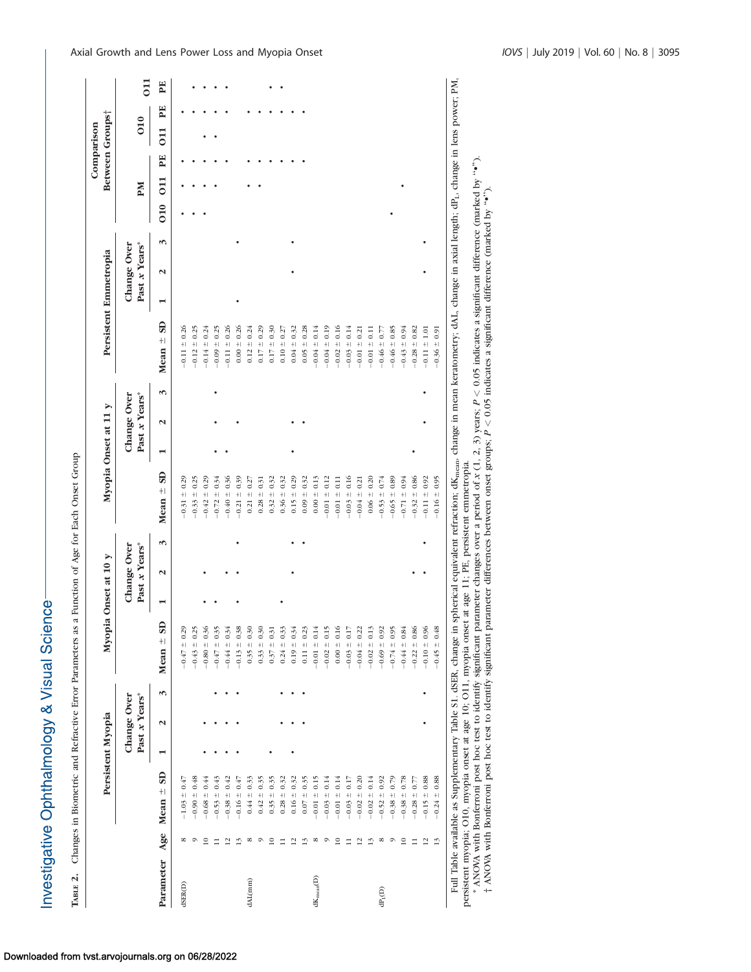| <b>CONSIGNATION</b> |
|---------------------|
| Vienal              |
| ohthalmology & \    |
| ś<br>i              |
| くこそりてきりょう           |

| l<br>ś<br>ţ                        |
|------------------------------------|
| j<br>l<br>j                        |
|                                    |
|                                    |
| ١                                  |
| í                                  |
| ļ                                  |
|                                    |
|                                    |
| I                                  |
|                                    |
| J                                  |
|                                    |
| i<br>I<br>$\overline{\phantom{a}}$ |
|                                    |
| ١<br>j<br>ì                        |
| i<br>١                             |
| $\frac{1}{2}$<br>ŀ                 |

Downloaded from tvst.arvojournals.org on 06/28/2022

|                        |                 | Persistent Myopia      |   |                              |   | Myopia Onset at 10 y              |                              |   | Myopia Onset at 11 y |                              |   | Persistent Emmetropia |                              |   |     |     |   | Between Groups <sup>†</sup><br>Comparison |                  |
|------------------------|-----------------|------------------------|---|------------------------------|---|-----------------------------------|------------------------------|---|----------------------|------------------------------|---|-----------------------|------------------------------|---|-----|-----|---|-------------------------------------------|------------------|
|                        |                 |                        |   | Change Over<br>Past x Years" |   |                                   | Past x Years*<br>Change Over |   |                      | Past x Years*<br>Change Over |   |                       | Past x Years"<br>Change Over |   |     | Md  |   | 010                                       | $\overline{011}$ |
| Parameter              | Age             | $\mathbf{S}$<br>Mean ± | ⊣ | $\mathbf{\mathsf{N}}$        | S | $\overline{\mathbf{S}}$<br>Mean ± | $\mathbf{\mathsf{N}}$        | z | Mean $\pm$ SD        | $\mathbf{\mathsf{N}}$        | z | Mean $\pm$ SD         | $\mathbf{\mathsf{N}}$        | S | 010 | 011 | E | 011                                       | E<br>E           |
| dSER <sub>(D)</sub>    | $^{\circ}$      | $-1.03 \pm 0.47$       |   |                              |   | $-0.47 = 0.2$                     |                              |   | $-0.31 \pm 0.29$     |                              |   | $-0.11 \pm 0.26$      |                              |   |     |     |   |                                           |                  |
|                        | $\circ$         | $-0.90 + 0.48$         |   |                              |   | $-0.43 \pm 0.2$                   |                              |   | $-0.33 \pm 0.25$     |                              |   | $-0.12 \pm 0.25$      |                              |   |     |     |   |                                           |                  |
|                        | $\approx$       | $-0.68 \pm 0.44$       |   |                              |   | $-0.80 \pm 0.3$                   |                              |   | $-0.42 \pm 0.29$     |                              |   | $-0.14 \pm 0.24$      |                              |   |     |     |   |                                           |                  |
|                        | $\equiv$        | $-0.53 \pm 0.43$       |   |                              |   | $-0.47 = 0.3$                     |                              |   | $-0.72 \pm 0.34$     |                              |   | $-0.09 = 0.25$        |                              |   |     |     |   |                                           |                  |
|                        | $\overline{12}$ | $-0.38 \pm 0.42$       |   |                              |   | $-0.44 \pm 0.3$                   |                              |   | $-0.40 \pm 0.36$     |                              |   | $-0.11 \pm 0.26$      |                              |   |     |     |   |                                           |                  |
|                        | $\frac{3}{2}$   | $-0.16 \pm 0.47$       |   |                              |   | $-0.13 \pm 0.3$                   |                              |   | $-0.21 \pm 0.39$     |                              |   | $0.00 \pm 0.26$       |                              |   |     |     |   |                                           |                  |
| dAL(mm)                | $^{\circ}$      | $0.44 \pm 0.33$        |   |                              |   | $0.35 \pm 0.3$                    |                              |   | $0.21 \pm 0.27$      |                              |   | $0.12 \pm 0.24$       |                              |   |     |     |   |                                           |                  |
|                        | $\circ$         | $0.42 \pm 0.35$        |   |                              |   | $0.33 \pm 0.3$                    |                              |   | $0.28 \pm 0.31$      |                              |   | $t = 0.29$<br>0.17    |                              |   |     |     |   |                                           |                  |
|                        | $\overline{10}$ | $0.35 \pm 0.35$        |   |                              |   | $0.37 = 0.3$                      |                              |   | $0.32 \pm 0.32$      |                              |   | $0.17 \pm 0.30$       |                              |   |     |     |   |                                           |                  |
|                        | $\equiv$        | $0.28 \pm 0.32$        |   |                              |   | $0.24 \pm 0.3$                    |                              |   | $0.36 \pm 0.32$      |                              |   | $0.10 \pm 0.27$       |                              |   |     |     |   |                                           |                  |
|                        | $\overline{12}$ | $0.16 \pm 0.32$        |   |                              |   | $0.19 \pm 0.3$                    |                              |   | $0.15 \pm 0.29$      |                              |   | $0.04 \pm 0.32$       |                              |   |     |     |   |                                           |                  |
|                        | 13              | $0.07 \pm 0.35$        |   |                              |   | $0.11 \pm 0.2$                    |                              |   | $0.09 \pm 0.32$      |                              |   | $0.05 \pm 0.28$       |                              |   |     |     |   |                                           |                  |
| dK <sub>mcan</sub> (D) | $^{\circ}$      | $-0.01 \pm 0.15$       |   |                              |   | $-0.01 \pm 0.1$                   |                              |   | $0.00 \pm 0.13$      |                              |   | $-0.04 \pm 0.14$      |                              |   |     |     |   |                                           |                  |
|                        | ٥               | $-0.03 = 0.14$         |   |                              |   | $-0.02 \pm 0.1$                   |                              |   | $-0.01 \pm 0.12$     |                              |   | $-0.04 \pm 0.19$      |                              |   |     |     |   |                                           |                  |
|                        | $\approx$       | $-0.01 \pm 0.14$       |   |                              |   | $0.00 \pm 0.1$                    |                              |   | $-0.01 \pm 0.11$     |                              |   | $-0.02 \pm 0.16$      |                              |   |     |     |   |                                           |                  |
|                        | $\equiv$        | $-0.03 \pm 0.17$       |   |                              |   | $-0.03 \pm 0.1$                   |                              |   | $-0.03 \pm 0.16$     |                              |   | $-0.03 \pm 0.14$      |                              |   |     |     |   |                                           |                  |
|                        | $\overline{c}$  | $-0.02 = 0.20$         |   |                              |   | $-0.04 \pm 0.2$                   |                              |   | $-0.04 \pm 0.21$     |                              |   | $-0.01 \pm 0.21$      |                              |   |     |     |   |                                           |                  |
|                        | 13              | $-0.02 = 0.14$         |   |                              |   | $-0.02 \pm 0.1$                   |                              |   | $0.06 \pm 0.20$      |                              |   | $-0.01 \pm 0.11$      |                              |   |     |     |   |                                           |                  |
| $\mathrm{dP_{I}(D)}$   | $^{\circ}$      | $-0.52 \pm 0.92$       |   |                              |   | $-0.69 = 0.9$                     |                              |   | $-0.53 \pm 0.74$     |                              |   | $-0.46 \pm 0.77$      |                              |   |     |     |   |                                           |                  |
|                        | $\circ$         | $-0.38 \pm 0.79$       |   |                              |   | $-0.74 \pm 0.9$                   |                              |   | $-0.65 \pm 0.89$     |                              |   | $-0.46 \pm 0.85$      |                              |   |     |     |   |                                           |                  |
|                        | $\overline{10}$ | $-0.38 \pm 0.78$       |   |                              |   | $-0.44 \pm 0.8$                   |                              |   | $-0.71 \pm 0.94$     |                              |   | $-0.43 \pm 0.94$      |                              |   |     |     |   |                                           |                  |
|                        | $\equiv$        | $-0.28 \pm 0.77$       |   |                              |   | $-0.22 \pm 0.8$                   |                              |   | $-0.32 \pm 0.86$     |                              |   | $-0.28 \pm 0.82$      |                              |   |     |     |   |                                           |                  |
|                        | $\overline{12}$ | $-0.15 \pm 0.88$       |   |                              |   | $-0.10 \pm 0.96$                  |                              |   | $-0.11 \pm 0.92$     |                              |   | $-0.11 \pm 1.01$      |                              |   |     |     |   |                                           |                  |
|                        | 13              | $-0.24 \pm 0.88$       |   |                              |   | $-0.45 \pm 0.48$                  |                              |   | $-0.16 \pm 0.95$     |                              |   | $-0.36 \pm 0.91$      |                              |   |     |     |   |                                           |                  |

persistent myopia; O10, myopia onset at age 10; O11, myopia onset at age 11; PE, persistent emmetropia. \* ANOVA with Bonferroni post hoc test to identify significant parameter changes over a period of † ANOVA with Bonferroni post hoc test to identify significant parameter differences between onset groups;

 $x(1, 2, 3)$  years;

 $_{\rm p}^{\rm \vee}$ 

 $_{\rm p}^{\rm \vee}$ 

 $0.05$  indicates a significant difference (marked by " $\bullet$ ").

 $0.05$  indicates a significant difference (marked by " $\bullet$ ").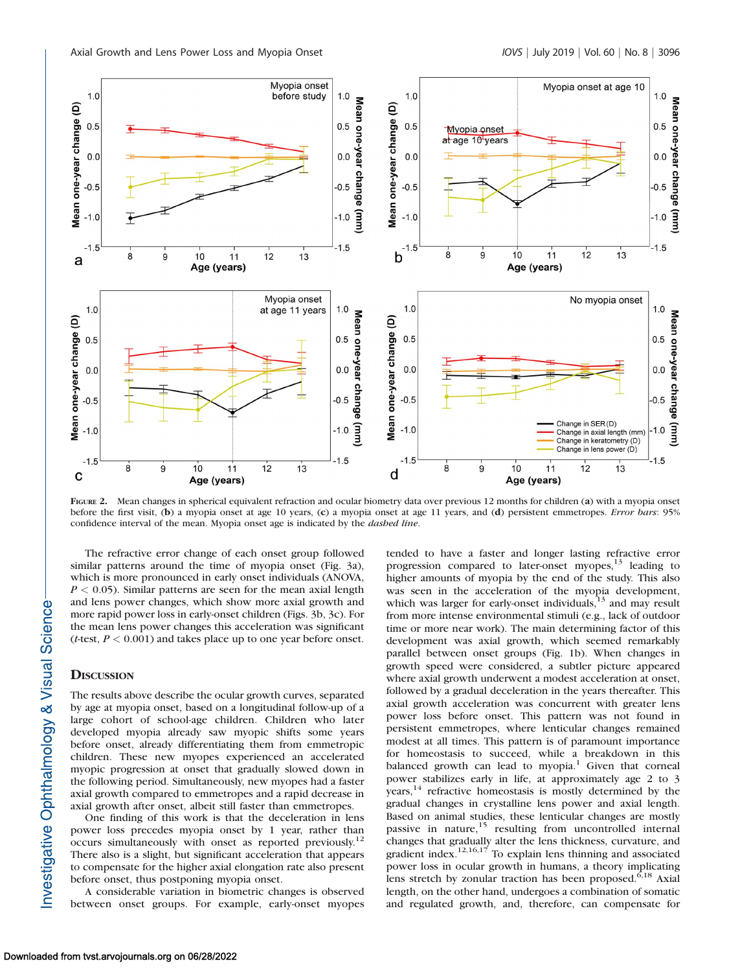

FIGURE 2. Mean changes in spherical equivalent refraction and ocular biometry data over previous 12 months for children (a) with a myopia onset before the first visit, (b) a myopia onset at age 10 years, (c) a myopia onset at age 11 years, and (d) persistent emmetropes. Error bars: 95% confidence interval of the mean. Myopia onset age is indicated by the dashed line.

The refractive error change of each onset group followed similar patterns around the time of myopia onset (Fig. 3a), which is more pronounced in early onset individuals (ANOVA,  $P < 0.05$ ). Similar patterns are seen for the mean axial length and lens power changes, which show more axial growth and more rapid power loss in early-onset children (Figs. 3b, 3c). For the mean lens power changes this acceleration was significant (*t*-test,  $P < 0.001$ ) and takes place up to one year before onset.

# **DISCUSSION**

The results above describe the ocular growth curves, separated by age at myopia onset, based on a longitudinal follow-up of a large cohort of school-age children. Children who later developed myopia already saw myopic shifts some years before onset, already differentiating them from emmetropic children. These new myopes experienced an accelerated myopic progression at onset that gradually slowed down in the following period. Simultaneously, new myopes had a faster axial growth compared to emmetropes and a rapid decrease in axial growth after onset, albeit still faster than emmetropes.

One finding of this work is that the deceleration in lens power loss precedes myopia onset by 1 year, rather than occurs simultaneously with onset as reported previously.<sup>12</sup> There also is a slight, but significant acceleration that appears to compensate for the higher axial elongation rate also present before onset, thus postponing myopia onset.

A considerable variation in biometric changes is observed between onset groups. For example, early-onset myopes tended to have a faster and longer lasting refractive error progression compared to later-onset myopes, $13$  leading to higher amounts of myopia by the end of the study. This also was seen in the acceleration of the myopia development, which was larger for early-onset individuals, $^{13}$  and may result from more intense environmental stimuli (e.g., lack of outdoor time or more near work). The main determining factor of this development was axial growth, which seemed remarkably parallel between onset groups (Fig. 1b). When changes in growth speed were considered, a subtler picture appeared where axial growth underwent a modest acceleration at onset, followed by a gradual deceleration in the years thereafter. This axial growth acceleration was concurrent with greater lens power loss before onset. This pattern was not found in persistent emmetropes, where lenticular changes remained modest at all times. This pattern is of paramount importance for homeostasis to succeed, while a breakdown in this balanced growth can lead to myopia. $1$  Given that corneal power stabilizes early in life, at approximately age 2 to 3 years, $14$  refractive homeostasis is mostly determined by the gradual changes in crystalline lens power and axial length. Based on animal studies, these lenticular changes are mostly passive in nature, $15$  resulting from uncontrolled internal changes that gradually alter the lens thickness, curvature, and gradient index. $12,16,17$  To explain lens thinning and associated power loss in ocular growth in humans, a theory implicating lens stretch by zonular traction has been proposed.<sup>6,18</sup> Axial length, on the other hand, undergoes a combination of somatic and regulated growth, and, therefore, can compensate for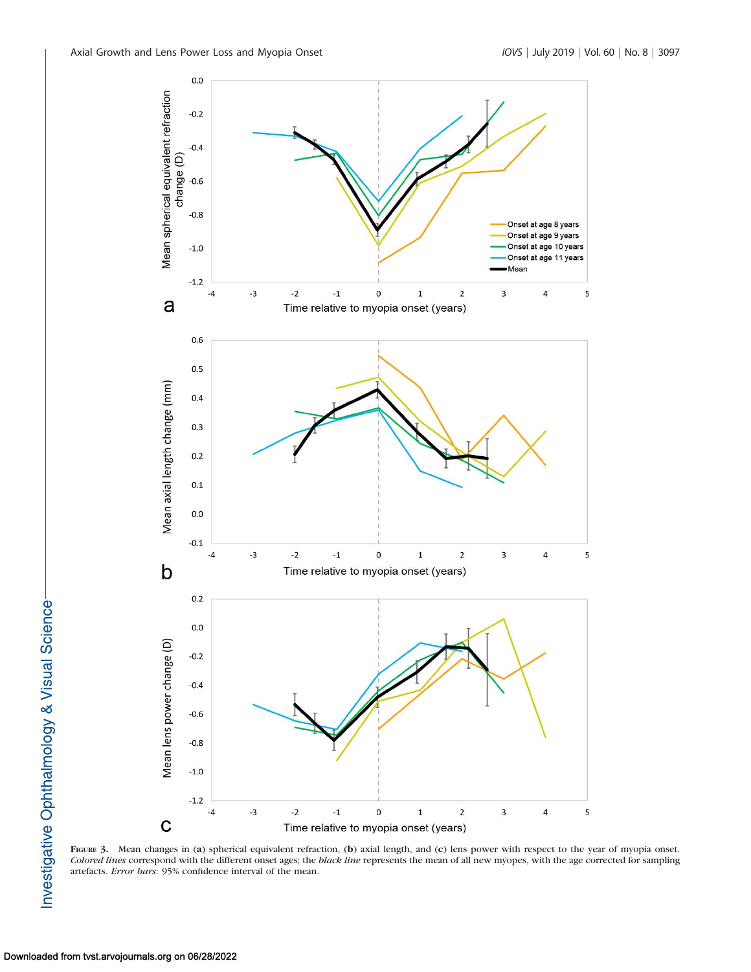

FIGURE 3. Mean changes in (a) spherical equivalent refraction, (b) axial length, and (c) lens power with respect to the year of myopia onset. Colored lines correspond with the different onset ages; the black line represents the mean of all new myopes, with the age corrected for sampling artefacts. Error bars: 95% confidence interval of the mean.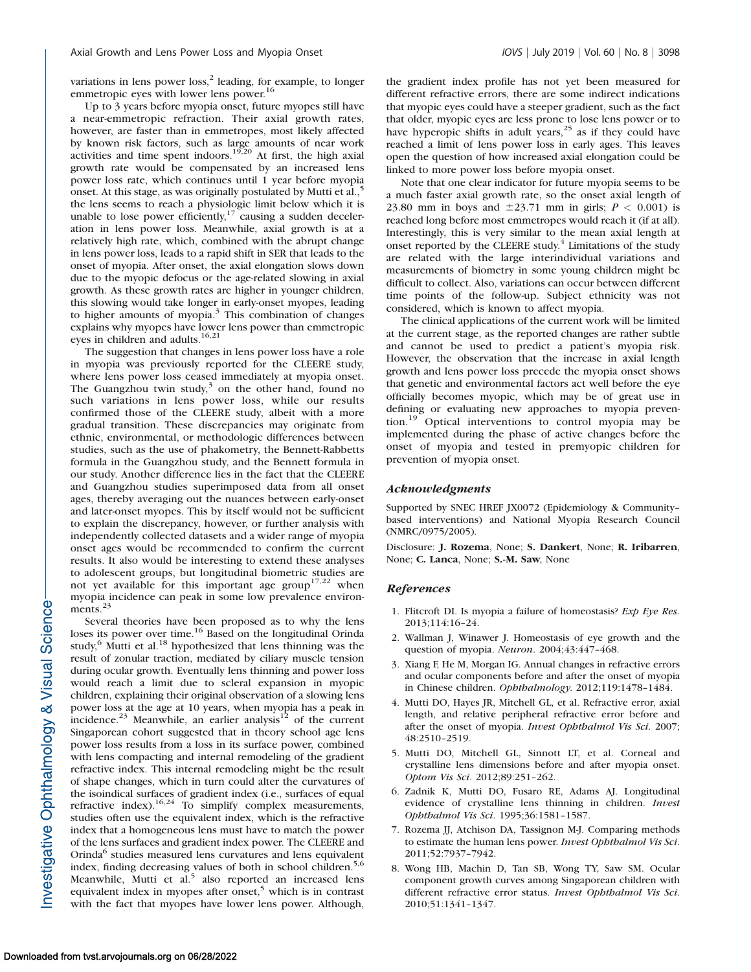variations in lens power loss, $2$  leading, for example, to longer emmetropic eyes with lower lens power.<sup>16</sup>

Up to 3 years before myopia onset, future myopes still have a near-emmetropic refraction. Their axial growth rates, however, are faster than in emmetropes, most likely affected by known risk factors, such as large amounts of near work activities and time spent indoors.<sup>19,20</sup> At first, the high axial growth rate would be compensated by an increased lens power loss rate, which continues until 1 year before myopia onset. At this stage, as was originally postulated by Mutti et al.,<sup>5</sup> the lens seems to reach a physiologic limit below which it is unable to lose power efficiently, $17$  causing a sudden deceleration in lens power loss. Meanwhile, axial growth is at a relatively high rate, which, combined with the abrupt change in lens power loss, leads to a rapid shift in SER that leads to the onset of myopia. After onset, the axial elongation slows down due to the myopic defocus or the age-related slowing in axial growth. As these growth rates are higher in younger children, this slowing would take longer in early-onset myopes, leading to higher amounts of myopia. $3$  This combination of changes explains why myopes have lower lens power than emmetropic eyes in children and adults.16,21

The suggestion that changes in lens power loss have a role in myopia was previously reported for the CLEERE study, where lens power loss ceased immediately at myopia onset. The Guangzhou twin study, $3$  on the other hand, found no such variations in lens power loss, while our results confirmed those of the CLEERE study, albeit with a more gradual transition. These discrepancies may originate from ethnic, environmental, or methodologic differences between studies, such as the use of phakometry, the Bennett-Rabbetts formula in the Guangzhou study, and the Bennett formula in our study. Another difference lies in the fact that the CLEERE and Guangzhou studies superimposed data from all onset ages, thereby averaging out the nuances between early-onset and later-onset myopes. This by itself would not be sufficient to explain the discrepancy, however, or further analysis with independently collected datasets and a wider range of myopia onset ages would be recommended to confirm the current results. It also would be interesting to extend these analyses to adolescent groups, but longitudinal biometric studies are not yet available for this important age group<sup>17,22</sup> when myopia incidence can peak in some low prevalence environments.<sup>23</sup>

Several theories have been proposed as to why the lens loses its power over time.<sup>16</sup> Based on the longitudinal Orinda study,<sup>6</sup> Mutti et al.<sup>18</sup> hypothesized that lens thinning was the result of zonular traction, mediated by ciliary muscle tension during ocular growth. Eventually lens thinning and power loss would reach a limit due to scleral expansion in myopic children, explaining their original observation of a slowing lens power loss at the age at 10 years, when myopia has a peak in incidence.<sup>23</sup> Meanwhile, an earlier analysis<sup>12</sup> of the current Singaporean cohort suggested that in theory school age lens power loss results from a loss in its surface power, combined with lens compacting and internal remodeling of the gradient refractive index. This internal remodeling might be the result of shape changes, which in turn could alter the curvatures of the isoindical surfaces of gradient index (i.e., surfaces of equal refractive index).16,24 To simplify complex measurements, studies often use the equivalent index, which is the refractive index that a homogeneous lens must have to match the power of the lens surfaces and gradient index power. The CLEERE and Orinda<sup>6</sup> studies measured lens curvatures and lens equivalent index, finding decreasing values of both in school children.<sup>5,6</sup> Meanwhile, Mutti et al. $5$  also reported an increased lens equivalent index in myopes after onset,<sup>5</sup> which is in contrast with the fact that myopes have lower lens power. Although,

the gradient index profile has not yet been measured for different refractive errors, there are some indirect indications that myopic eyes could have a steeper gradient, such as the fact that older, myopic eyes are less prone to lose lens power or to have hyperopic shifts in adult years, $^{25}$  as if they could have reached a limit of lens power loss in early ages. This leaves open the question of how increased axial elongation could be linked to more power loss before myopia onset.

Note that one clear indicator for future myopia seems to be a much faster axial growth rate, so the onset axial length of 23.80 mm in boys and  $\pm 23.71$  mm in girls;  $P < 0.001$ ) is reached long before most emmetropes would reach it (if at all). Interestingly, this is very similar to the mean axial length at onset reported by the CLEERE study.<sup>4</sup> Limitations of the study are related with the large interindividual variations and measurements of biometry in some young children might be difficult to collect. Also, variations can occur between different time points of the follow-up. Subject ethnicity was not considered, which is known to affect myopia.

The clinical applications of the current work will be limited at the current stage, as the reported changes are rather subtle and cannot be used to predict a patient's myopia risk. However, the observation that the increase in axial length growth and lens power loss precede the myopia onset shows that genetic and environmental factors act well before the eye officially becomes myopic, which may be of great use in defining or evaluating new approaches to myopia prevention.<sup>19</sup> Optical interventions to control myopia may be implemented during the phase of active changes before the onset of myopia and tested in premyopic children for prevention of myopia onset.

## Acknowledgments

Supported by SNEC HREF JX0072 (Epidemiology & Community– based interventions) and National Myopia Research Council (NMRC/0975/2005).

Disclosure: J. Rozema, None; S. Dankert, None; R. Iribarren, None; C. Lanca, None; S.-M. Saw, None

## References

- 1. Flitcroft DI. Is myopia a failure of homeostasis? Exp Eye Res. 2013;114:16–24.
- 2. Wallman J, Winawer J. Homeostasis of eye growth and the question of myopia. Neuron. 2004;43:447–468.
- 3. Xiang F, He M, Morgan IG. Annual changes in refractive errors and ocular components before and after the onset of myopia in Chinese children. Ophthalmology. 2012;119:1478–1484.
- 4. Mutti DO, Hayes JR, Mitchell GL, et al. Refractive error, axial length, and relative peripheral refractive error before and after the onset of myopia. Invest Ophthalmol Vis Sci. 2007; 48:2510–2519.
- 5. Mutti DO, Mitchell GL, Sinnott LT, et al. Corneal and crystalline lens dimensions before and after myopia onset. Optom Vis Sci. 2012;89:251–262.
- 6. Zadnik K, Mutti DO, Fusaro RE, Adams AJ. Longitudinal evidence of crystalline lens thinning in children. Invest Ophthalmol Vis Sci. 1995;36:1581–1587.
- 7. Rozema JJ, Atchison DA, Tassignon M-J. Comparing methods to estimate the human lens power. Invest Ophthalmol Vis Sci. 2011;52:7937–7942.
- 8. Wong HB, Machin D, Tan SB, Wong TY, Saw SM. Ocular component growth curves among Singaporean children with different refractive error status. Invest Ophthalmol Vis Sci. 2010;51:1341–1347.